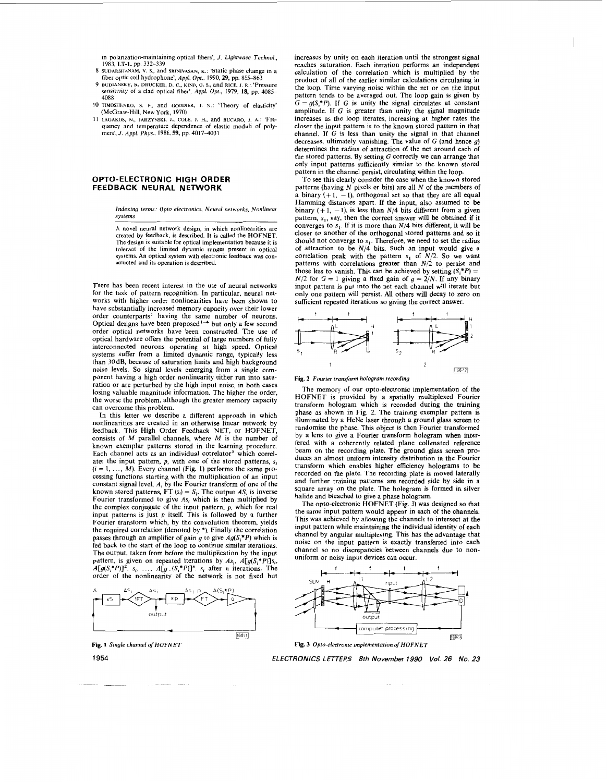<span id="page-0-0"></span>in polarization-maintaining optical fibers', J. *Lightwave Technol.,*  **1983, LT-1, pp. 332-339** 

- 
- 8 SUDARSHANAM, V. S., and SRINIVASAN, K.: 'Static phase change in a<br>fiber optic coil hydrophone', Appl. Opt., 1990, 29, pp. 855–863<br>9 BUDIANSKY, B., DRUCKER, D. C., KINO, G. S., and RICE, J. R.: 'Pressure sensitivity of a clad optical fiber', *Appl. Opt.,* 1979, 18, **pp. 408s**  4088
- (McCraw-Hill, New York, 1970) 10 TIMOSHENKO, **S.** P., and **rmOIER,** J. **N.:** 'Theory **of** elasticity'
- quency and temperature dependence of elastic modull of polymers', *J. Appl. Phys.*, 1986, 59, pp. 4017-4031 **I I LAGAKOS, N.,** JARZYNSKI, J., COLE, J. H., and **BUCARO,** J. **A.:** 'Fre-

## **OPTO-ELECTRONIC HIGH ORDER FEEDBACK NEURAL NETWORK**

*Indexing terms: Opto electronics, Neural networks, Nonlinea systems* 

**<sup>A</sup>**novel neural network design, in which nonlinearities are created by feedback, **IS** described. It is called the HOFNET. The design is suitable for optical implementation because it is tolerant of the limited dynamic ranges present in optical systems. An optical system with electronic feedback was con-<br>structed and its operation is described.

There has been recent interest in the use of neural networks for the task of pattern recognition. In particular, neural networks with higher order nonlinearities have been shown to have substantially increased memory capacity over their lower order counterparts<sup>1</sup> having the same number of neurons.<br>Optical designs have been proposed<sup>1-4</sup> but only a few second order optical networks have been constructed. The use of optical hardware offers the potential of large numbers of fully interconnected neurons operating at high speed. Optical systems suffer from a limited dynamic range, typically less than 30dB, because of saturation limits and high background noise levels. So signal levels emerging from a single component having a high order nonlinearity either run into saturation or are perturbed by the high input noise, in both cases losing valuable magnitude information. The higher the order, the worse the problem, although the greater memory capacity can overcome this problem.

In this letter we describe a different approach in which nonlinearities are created in an otherwise linear network by feedback. This High Order Feedback NET, or HOFNET, consists of M parallel channels, where *M* is the number of known exemplar patterns stored in the learning procedure. Each channel acts as an individual correlator<sup>5</sup> which correlates the input pattern,  $p$ , with one of the stored patterns,  $s_i$  $(i = 1, ..., M)$ . Every channel (Fig. 1) performs the same processing functions starting with the multiplication of an input constant signal level, A, by the Fourier transform of one of the known stored patterns, FT  $(s_i) = S_i$ . The output  $AS_i$  is inverse Fourier transformed to give  $As<sub>i</sub>$  which is then multiplied by the complex conjugate of the input pattern,  $p$ , which for real input patterns is just *p* itself. This is followed by a further Fourier transform which, by the convolution theorem, yields the required correlation (denoted by \*). Finally the correlation passes through an amplifier of gain *g* to give *Ag(S,\*P)* which is fed back to the start of the loop to continue similar iterations. The output, taken from before the multiplication by the input pattern, is given on repeated iterations by  $As_i$ ,  $A[g(S_i^*P)]s_i$ ,  $A[g(S_i^*P)]^2$ .  $s_i$ , ...,  $A[g (S_i^*P)]^n$ .  $s_i$  after *n* iterations. The order of the nonlinearity of the network is not fixed but





increases by unity on each iteration until the strongest signal reaches saturation. Each iteration performs an independent calculation of the correlation which *is* multiplied by the product of all of the earlier similar calculations circulating in the loop. Time varying noise within the net or on the input pattern tends to be averaged out. The loop gain is given by  $G = g(S, *P)$ . If *G* is unity the signal circulates at constant amplitude. If G is greater than unity the signal magnitude increases as the loop iterates, increasing at higher rates the closer the input pattern is to the known stored pattern in that channel. If  $G$  is less than unity the signal in that channel decreases, ultimately vanishing. The value of G (and hence *g)*  determines the radius of attraction of the net around each of the stored patterns. By setting  $G$  correctly we can arrange that only input patterns sufficiently similar to the known stored pattern in the channel persist, circulating within the loop.

To see this clearly consider the case when the known stored patterns (having *N* pixels or bits) are all *N* of the members of a binary  $(+1, -1)$ , orthogonal set so that they are all equal Hamming distances apart. If the input, also assumed to be binary  $(+1, -1)$ , is less than  $N/4$  bits different from a given pattern,  $s<sub>1</sub>$ , say, then the correct answer will be obtained if it converges to  $s_1$ . If it is more than  $N/4$  bits different, it will be closer to another of the orthogonal stored patterns and so it should not converge to  $s_1$ . Therefore, we need to set the radius of attraction to be  $N/4$  bits. Such an input would give a correlation peak with the pattern  $s_1$  of  $N/2$ . So we want patterns with correlations greater than *N/2* to persist and those less to vanish. This can be achieved by setting  $(S_i^*P)$  =  $N/2$  for  $G = 1$  giving a fixed gain of  $g = 2/N$ . If any binary input pattern is put into the net each channel will iterate but only one pattern will persist. All others will decay to zero on sufficient repeated iterations **so** giving the correct answer.



**Fig.** *2 Fourier transform hologram recording* 

The memory of our opto-electronic implementation of the HOFNET is provided by a spatially multiplexed Fourier transform hologram which is recorded during the training phase as shown in Fig. *2.* The training exemplar pattern is illuminated by a HeNe laser through a ground glass screen to randomise the phase. This object is then Fourier transformed by a lens to give a Fourier transform hologram when interfered with a coherently related plane collimated reference beam on the recording plate. The ground glass screen produces an almost uniform intensity distribution in the Fourier transform which enables higher efficiency holograms to be recorded on the plate. The recording plate is moved laterally and further training patterns are recorded side by side in a square array on the plate. The hologram is formed in silver halide and bleached to give a phase hologram.

The opto-electronic HOFNET (Fig. 3) was designed so that the same input pattern would appear in each of the channels. This was achieved by allowing the channels to intersect at the input pattern while maintaining the individual identity of each channel by angular multiplexing. This has the advantage that noise on the input pattern is exactly transferred into each channel **so** no discrepancies between channels due to nonuniform or noisy input devices can occur.







**1954** 

~-